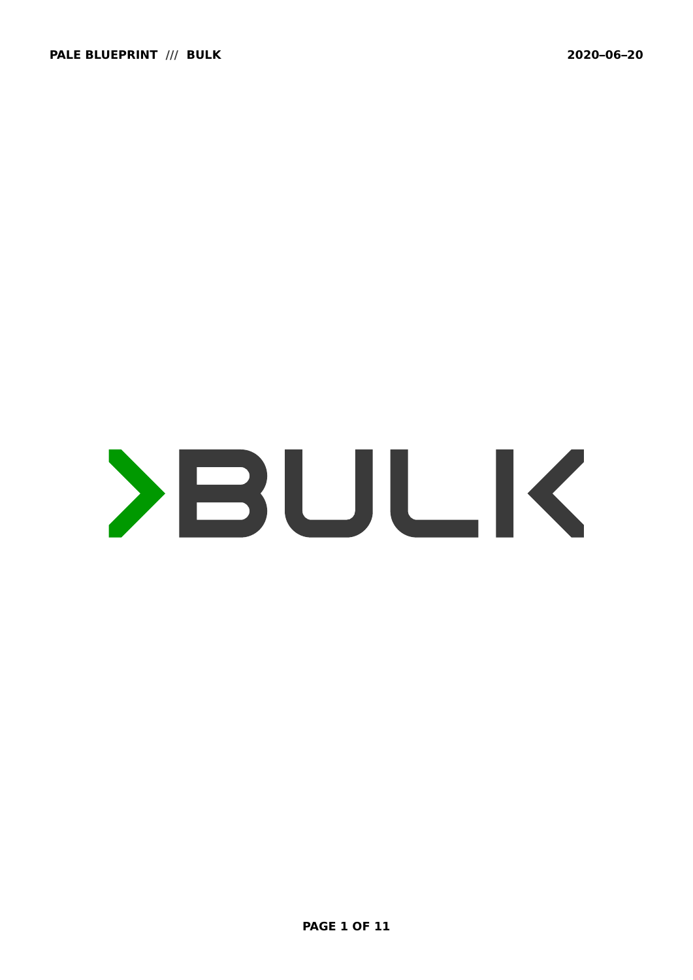# YBULK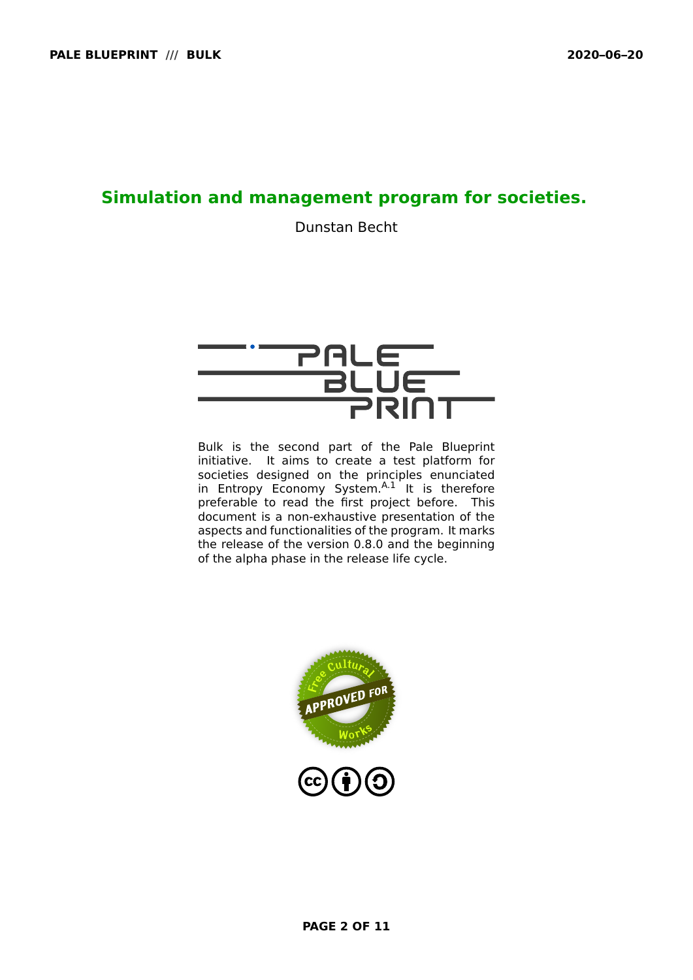# **Simulation and management program for societies.**

Dunstan Becht



Bulk is the second part of the Pale Blueprint initiative. It aims to create a test platform for societies designed on the principles enunciated in Entropy Economy System. [A.1](#page-10-0) It is therefore preferable to read the first project before. This document is a non-exhaustive presentation of the aspects and functionalities of the program. It marks the release of the version 0.8.0 and the beginning of the alpha phase in the release life cycle.

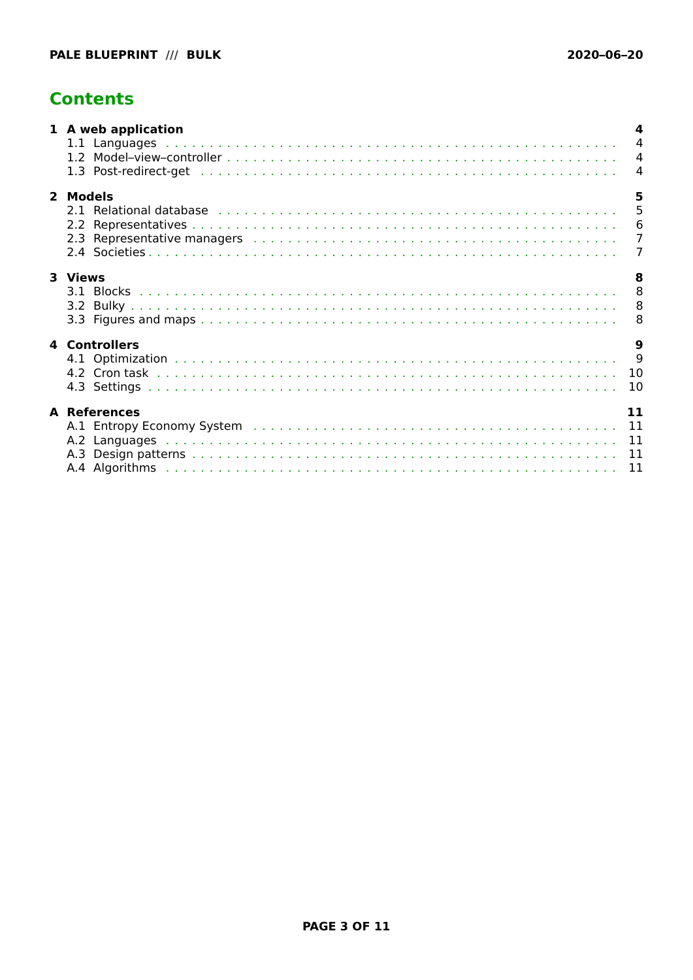# <span id="page-2-0"></span>**Contents**

| 1 A web application                                                                                                                                                                                                                                  | 4<br>$\overline{4}$ |
|------------------------------------------------------------------------------------------------------------------------------------------------------------------------------------------------------------------------------------------------------|---------------------|
| 2 Models<br>2.1 Relational database entitled and contact the contract of the contract of the contract of the contract of the contract of the contract of the contract of the contract of the contract of the contract of the contract of t           | 5                   |
| 3 Views                                                                                                                                                                                                                                              | 8                   |
| <b>4 Controllers</b>                                                                                                                                                                                                                                 | 9<br>10             |
| <b>A</b> References<br>A.1 Entropy Economy System (and all and all and all and all and all and all and all and all and all and all and all and all and all and the metal and all and all and all and all and all and all and all and all and all and | 11                  |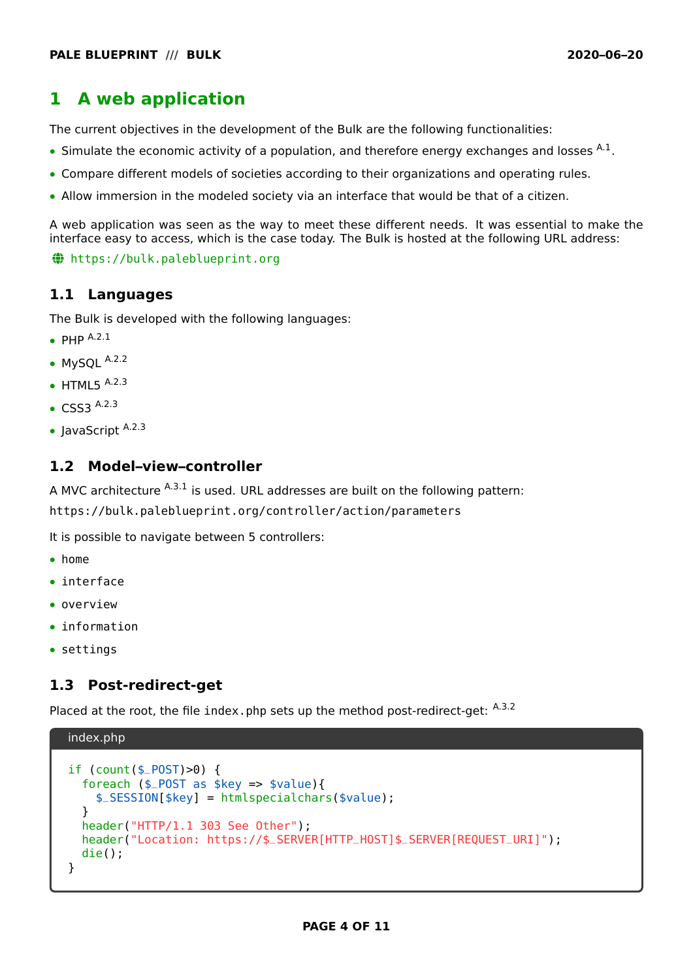# <span id="page-3-0"></span>**1 A web application**

The current objectives in the development of the Bulk are the following functionalities:

- **•** Simulate the economic activity of a population, and therefore energy exchanges and losses <sup>[A.1](#page-10-0)</sup>.
- **•** Compare different models of societies according to their organizations and operating rules.
- **•** Allow immersion in the modeled society via an interface that would be that of a citizen.

A web application was seen as the way to meet these different needs. It was essential to make the interface easy to access, which is the case today. The Bulk is hosted at the following URL address:

~ <https://bulk.paleblueprint.org>

#### <span id="page-3-1"></span>**1.1 Languages**

The Bulk is developed with the following languages:

- **•** PHP [A.2.1](#page-10-5)
- **•** MySQL [A.2.2](#page-10-6)
- **•** HTML5 [A.2.3](#page-10-7)
- **•** CSS3 [A.2.3](#page-10-7)
- **•** JavaScript [A.2.3](#page-10-7)

### <span id="page-3-2"></span>**1.2 Model–view–controller**

A MVC architecture  $A.3.1$  is used. URL addresses are built on the following pattern: https://bulk.paleblueprint.org/controller/action/parameters

It is possible to navigate between 5 controllers:

- **•** [home](https://bulk.paleblueprint.org/home)
- **•** [interface](https://bulk.paleblueprint.org/interface)
- **•** [overview](https://bulk.paleblueprint.org/overview)
- **•** [information](https://bulk.paleblueprint.org/information)
- **•** [settings](https://bulk.paleblueprint.org/settings)

# <span id="page-3-3"></span>**1.3 Post-redirect-get**

Placed at the root, the file index.php sets up the method post-redirect-get: [A.3.2](#page-10-9)

```
index.php
if (count($_POST)>0) {
  foreach ($_POST as $key => $value){
    $_SESSION[$key] = htmlspecialchars($value);
  }
 header("HTTP/1.1 303 See Other");
  header("Location: https://$_SERVER[HTTP_HOST]$_SERVER[REQUEST_URI]");
 die();
}
```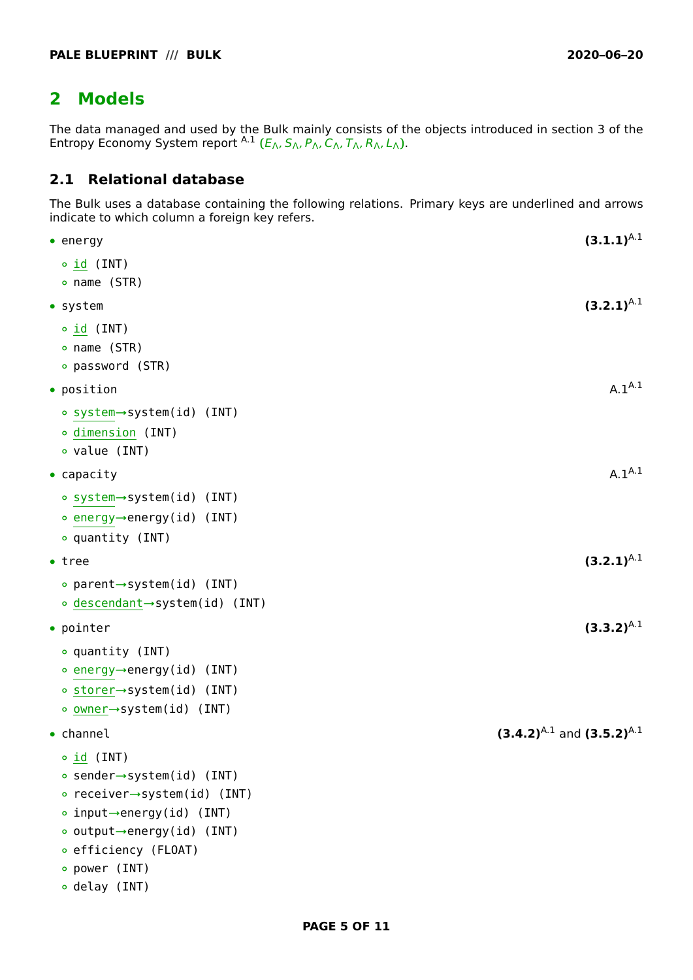# <span id="page-4-0"></span>**2 Models**

The data managed and used by the Bulk mainly consists of the objects introduced in section 3 of the Entropy Economy System report [A.1](#page-10-0) **(**EΛ, SΛ, PΛ, CΛ, TΛ, RΛ, LΛ**)**.

# <span id="page-4-1"></span>**2.1 Relational database**

The Bulk uses a database containing the following relations. Primary keys are underlined and arrows indicate to which column a foreign key refers.

| $\bullet$ energy                          | $(3.1.1)^{A.1}$                     |
|-------------------------------------------|-------------------------------------|
| o id (INT)                                |                                     |
| ∘ name (STR)                              |                                     |
| $\bullet$ system                          | $(3.2.1)^{A.1}$                     |
| $\circ$ <u>id</u> (INT)                   |                                     |
| • name (STR)                              |                                     |
| • password (STR)                          |                                     |
| $\bullet$ position                        | $A.1^{A.1}$                         |
| ∘ system→system(id) (INT)                 |                                     |
| o dimension (INT)                         |                                     |
| • value (INT)                             |                                     |
| $\bullet$ capacity                        | $A.1^{A.1}$                         |
| ∘ system→system(id) (INT)                 |                                     |
| ∘ energy→energy(id) (INT)                 |                                     |
| ∘ quantity (INT)                          |                                     |
| $\bullet$ tree                            | $(3.2.1)^{A.1}$                     |
| • parent→system(id) (INT)                 |                                     |
| ∘ <u>descendant</u> →system(id) (INT)     |                                     |
| $\bullet$ pointer                         | $(3.3.2)^{A.1}$                     |
| ∘ quantity (INT)                          |                                     |
| ∘ energy→energy(id) (INT)                 |                                     |
| ∘ storer→system(id) (INT)                 |                                     |
| ∘ <u>owner</u> →system(id) (INT)          |                                     |
| $\bullet$ channel                         | $(3.4.2)^{A.1}$ and $(3.5.2)^{A.1}$ |
| $\circ$ id (INT)                          |                                     |
| • sender→system(id) (INT)                 |                                     |
| • receiver $\rightarrow$ system(id) (INT) |                                     |
| • input $\rightarrow$ energy(id) (INT)    |                                     |
| • output $\rightarrow$ energy(id) (INT)   |                                     |
| • efficiency (FLOAT)                      |                                     |
| o power (INT)                             |                                     |
| • delay (INT)                             |                                     |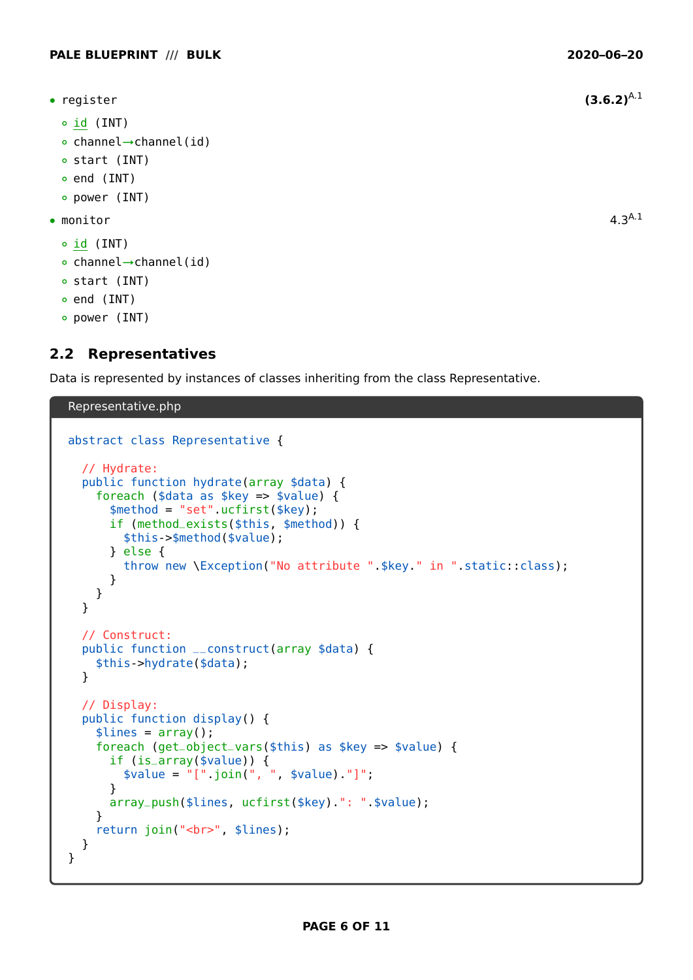- **•** register **(3.6.2)**[A.1](#page-10-0)
	- **◦** id (INT)
	- **◦** channel**→**channel(id)
	- **◦** start (INT)
	- **◦** end (INT)
	- **◦** power (INT)
- **•** monitor 4.3[A.1](#page-10-0)
	- **◦** id (INT)
	- **◦** channel**→**channel(id)
	- **◦** start (INT)
	- **◦** end (INT)
	- **◦** power (INT)

# <span id="page-5-0"></span>**2.2 Representatives**

Data is represented by instances of classes inheriting from the class Representative.

#### Representative.php

```
abstract class Representative {
 // Hydrate:
 public function hydrate(array $data) {
    foreach ($data as $key => $value) {
      $method = "set".ucfirst($key);
      if (method_exists($this, $method)) {
        $this->$method($value);
      } else {
        throw new \Exception("No attribute ".$key." in ".static::class);
      }
    }
 }
 // Construct:
 public function __construct(array $data) {
    $this->hydrate($data);
 }
 // Display:
 public function display() {
    $lines = array();
    foreach (get_object_vars($this) as $key => $value) {
      if (is_array($value)) {
        $value = "[".join(", ", $value)."]";
      }
      array_push($lines, ucfirst($key).": ".$value);
    }
    return join("<br/>>br>", $lines);
 }
}
```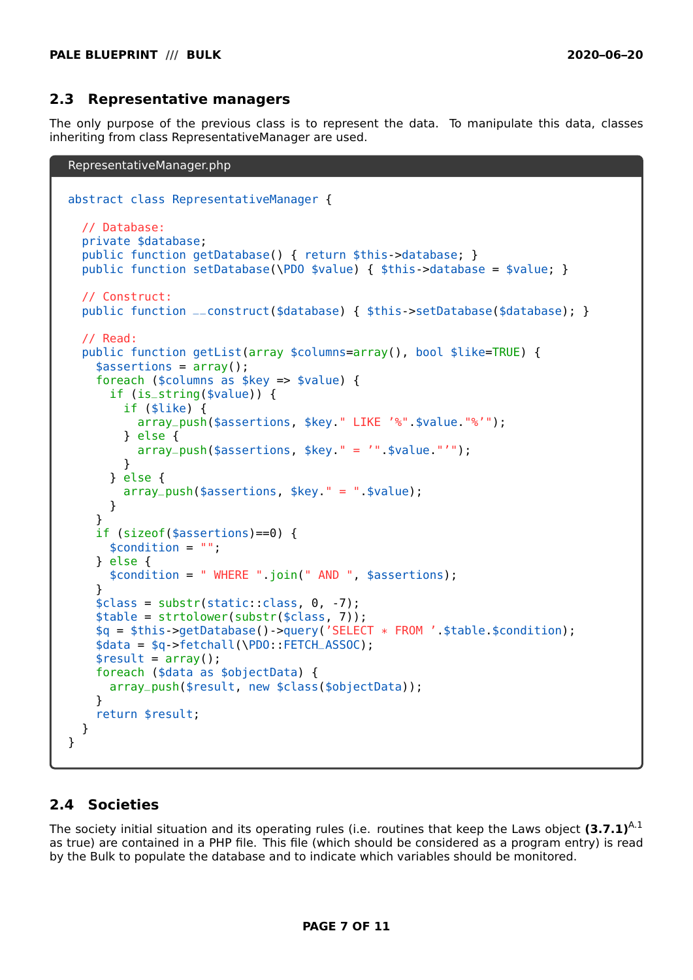#### <span id="page-6-0"></span>**2.3 Representative managers**

The only purpose of the previous class is to represent the data. To manipulate this data, classes inheriting from class RepresentativeManager are used.

```
RepresentativeManager.php
```

```
abstract class RepresentativeManager {
  // Database:
  private $database;
  public function getDatabase() { return $this->database; }
  public function setDatabase(\PDO $value) { $this->database = $value; }
  // Construct:
 public function __construct($database) { $this->setDatabase($database); }
  // Read:
  public function getList(array $columns=array(), bool $like=TRUE) {
    $assertions = array();foreach ($columns as $key => $value) {
      if (is_string($value)) {
        if ($like) {
          array_push($assertions, $key." LIKE '%".$value."%'");
        } else {
          array_push($assertions, $key." = '".$value."'");
        }
      } else {
        array_push($assertions, $key." = ".$value);
      }
    }
    if (sizeof($assertions)==0) {
      $condition = "";
    } else {
      $condition = " WHERE ".join(" AND ", $assertions);
    }
    $class = substr(static::class, 0, -7);
    $table = strtolower(substr($class, 7));
    $q = $this->getDatabase()->query('SELECT * FROM '.$table.$condition);
    $data = $q->fetchall(\PDO::FETCH_ASSOC);
    $result = array();
    foreach ($data as $objectData) {
      array_push($result, new $class($objectData));
    }
    return $result;
 }
}
```
# <span id="page-6-1"></span>**2.4 Societies**

The society initial situation and its operating rules (i.e. routines that keep the Laws object **(3.7.1)**[A.1](#page-10-0) as true) are contained in a PHP file. This file (which should be considered as a program entry) is read by the Bulk to populate the database and to indicate which variables should be monitored.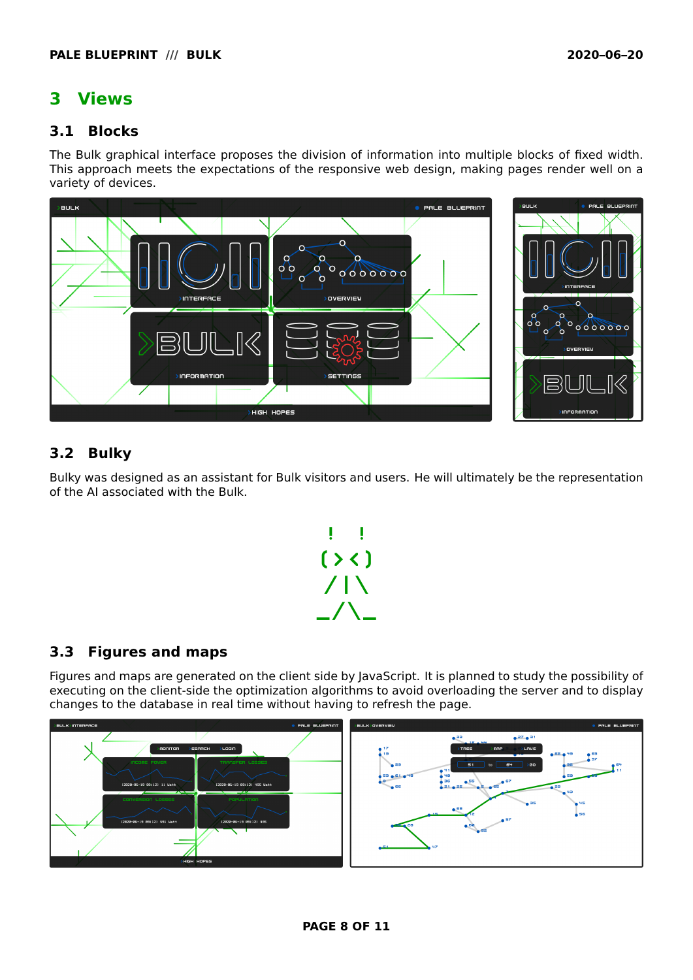# <span id="page-7-0"></span>**3 Views**

# <span id="page-7-1"></span>**3.1 Blocks**

The Bulk graphical interface proposes the division of information into multiple blocks of fixed width. This approach meets the expectations of the responsive web design, making pages render well on a variety of devices.



# <span id="page-7-2"></span>**3.2 Bulky**

Bulky was designed as an assistant for Bulk visitors and users. He will ultimately be the representation of the AI associated with the Bulk.



# <span id="page-7-3"></span>**3.3 Figures and maps**

Figures and maps are generated on the client side by JavaScript. It is planned to study the possibility of executing on the client-side the optimization algorithms to avoid overloading the server and to display changes to the database in real time without having to refresh the page.

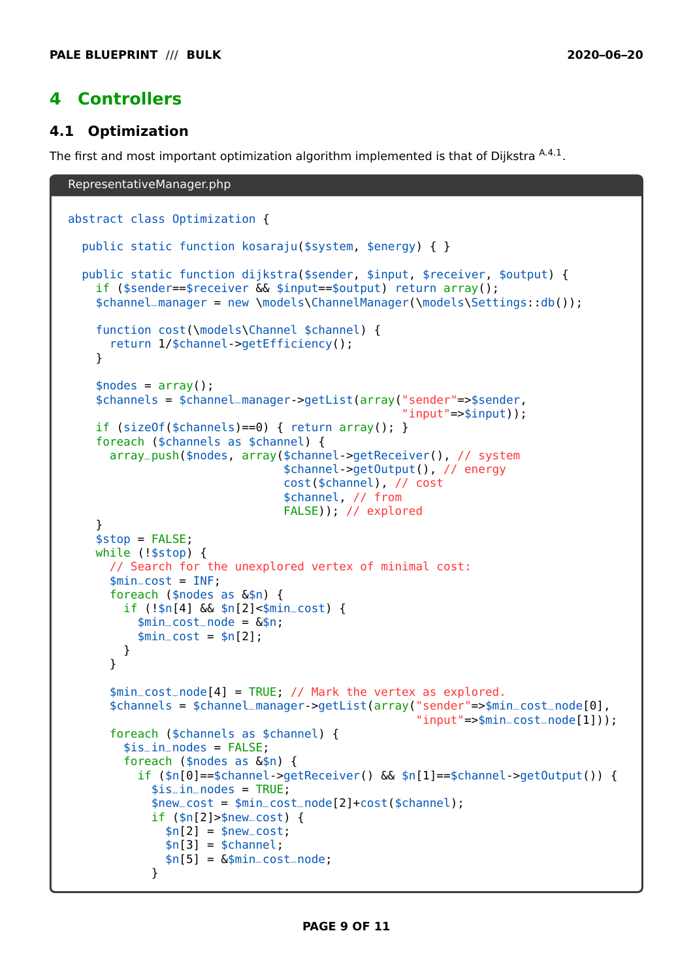# <span id="page-8-0"></span>**4 Controllers**

# <span id="page-8-1"></span>**4.1 Optimization**

The first and most important optimization algorithm implemented is that of Diikstra  $^{\rm A.4.1}.$  $^{\rm A.4.1}.$  $^{\rm A.4.1}.$ 

```
RepresentativeManager.php
abstract class Optimization {
 public static function kosaraju($system, $energy) { }
  public static function dijkstra($sender, $input, $receiver, $output) {
    if ($sender==$receiver && $input==$output) return array();
    $channel_manager = new \models\ChannelManager(\models\Settings::db());
    function cost(\models\Channel $channel) {
      return 1/$channel->getEfficiency();
    }
    \text{shodes} = \text{array}();
    $channels = $channel_manager->getList(array("sender"=>$sender,
                                                 "input"=>$input));
    if (sizeOf($channels)==0) { return array(); }
    foreach ($channels as $channel) {
      array_push($nodes, array($channel->getReceiver(), // system
                                $channel->getOutput(), // energy
                                cost($channel), // cost
                                $channel, // from
                                FALSE)); // explored
    }
    $stop = FALSE;while (!$stop) {
      // Search for the unexplored vertex of minimal cost:
      $min\_cost = INF;foreach ($nodes as &$n) {
        if (!$n[4] && $n[2]<$min_cost) {
          $min_cost_node = &$n;
          $min\_cost = $n[2];
        }
      }
      $min_cost_node[4] = TRUE; // Mark the vertex as explored.
      $channels = $channel_manager->getList(array("sender"=>$min_cost_node[0],
                                                   "input"=>$min_cost_node[1]));
      foreach ($channels as $channel) {
        $is_in-nodes = FALSE:
        foreach ($nodes as &$n) {
          if ($n[0]==$channel->getReceiver() && $n[1]==$channel->getOutput()) {
            $is_in-nodes = TRUE;
            $new_cost = $min_cost_node[2]+cost($channel);
            if ($n[2]>$new_cost) {
              $n[2] = $new\_cost;$n[3] = $channel;$n[5] = \&$min\_cost\_node;}
```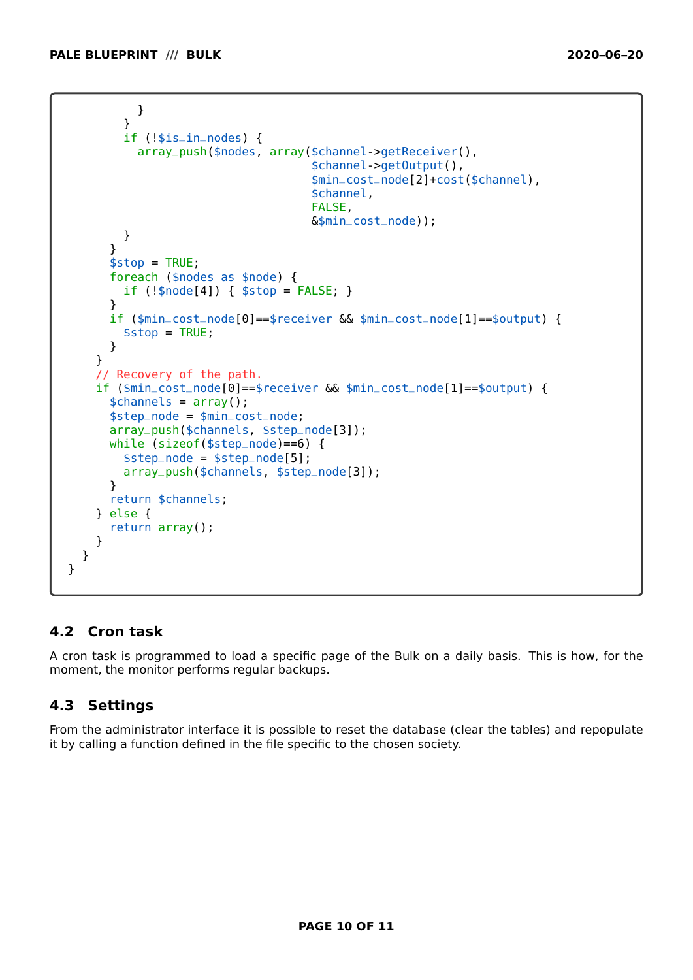```
}
        }
        if (!$is_in_nodes) {
          array_push($nodes, array($channel->getReceiver(),
                                    $channel->getOutput(),
                                    $min_cost_node[2]+cost($channel),
                                    $channel,
                                    FALSE,
                                    &$min_cost_node));
        }
      }
      $stop = TRUE;
      foreach ($nodes as $node) {
        if (!\$node[4]) \{ $stop = FALSE; \}}
      if ($min_cost_node[0]==$receiver && $min_cost_node[1]==$output) {
        $stop = TRUE;}
    }
    // Recovery of the path.
    if ($min_cost_node[0]==$receiver && $min_cost_node[1]==$output) {
      $channels = array();
      $step_node = $min_cost_node;
      array_push($channels, $step_node[3]);
      while (sizeof($step_node)==6) {
        $step-node = $step-node[5];array_push($channels, $step_node[3]);
      }
      return $channels;
    } else {
      return array();
    }
 }
}
```
# <span id="page-9-0"></span>**4.2 Cron task**

A cron task is programmed to load a specific page of the Bulk on a daily basis. This is how, for the moment, the monitor performs regular backups.

# <span id="page-9-1"></span>**4.3 Settings**

From the administrator interface it is possible to reset the database (clear the tables) and repopulate it by calling a function defined in the file specific to the chosen society.